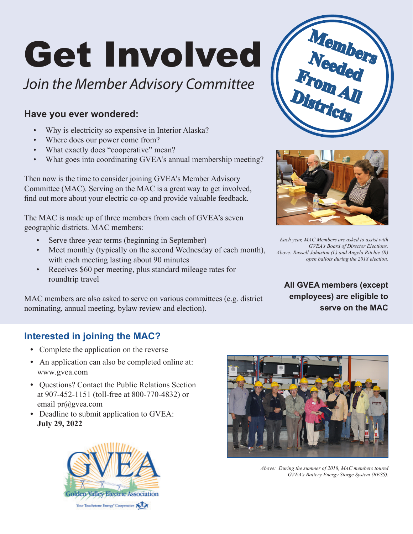# Get Involved

# *Join the Member Advisory Committee*

#### **Have you ever wondered:**

- Why is electricity so expensive in Interior Alaska?
- Where does our power come from?
- What exactly does "cooperative" mean?
- What goes into coordinating GVEA's annual membership meeting?

Then now is the time to consider joining GVEA's Member Advisory Committee (MAC). Serving on the MAC is a great way to get involved, find out more about your electric co-op and provide valuable feedback.

The MAC is made up of three members from each of GVEA's seven geographic districts. MAC members:

- Serve three-year terms (beginning in September)
- Meet monthly (typically on the second Wednesday of each month), with each meeting lasting about 90 minutes
- Receives \$60 per meeting, plus standard mileage rates for roundtrip travel

MAC members are also asked to serve on various committees (e.g. district nominating, annual meeting, bylaw review and election).





*Each year, MAC Members are asked to assist with GVEA's Board of Director Elections. Above: Russell Johnston (L) and Angela Ritchie (R) open ballots during the 2018 election.* 

**All GVEA members (except employees) are eligible to serve on the MAC**

#### **Interested in joining the MAC?**

- **•** Complete the application on the reverse
- **•** An application can also be completed online at: www.gvea.com
- **•** Questions? Contact the Public Relations Section at 907-452-1151 (toll-free at 800-770-4832) or email pr@gvea.com
- **•** Deadline to submit application to GVEA: **July 29, 2022**





*Above: During the summer of 2018, MAC members toured GVEA's Battery Energy Storge System (BESS).*